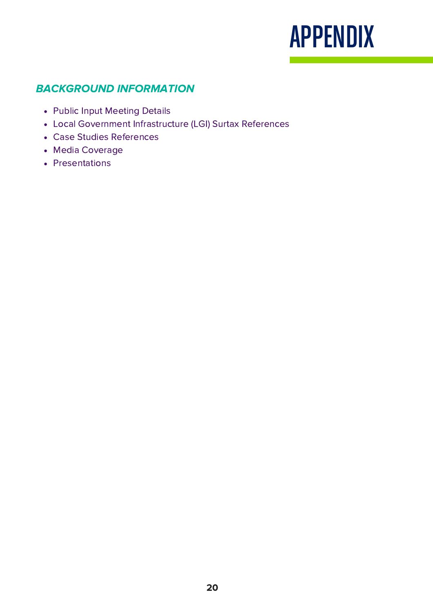## APPENDIX

## BACKGROUND INFORMATION

- Public Input Meeting Details
- Local Government Infrastructure (LGI) Surtax References
- Case Studies References
- Media Coverage
- Presentations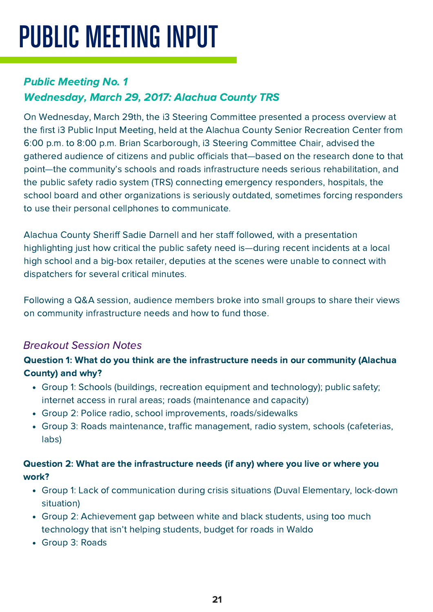# PUBLIC MEETING INPUT

## Public Meeting No. 1 Wednesday, March 29, 2017: Alachua County TRS

On Wednesday, March 29th, the i3 Steering Committee presented a process overview at the first i3 Public Input Meeting, held at the Alachua County Senior Recreation Center from 6:00 p.m. to 8:00 p.m. Brian Scarborough, i3 Steering Committee Chair, advised the gathered audience of citizens and public officials that—based on the research done to that point—the community's schools and roads infrastructure needs serious rehabilitation, and the public safety radio system (TRS) connecting emergency responders, hospitals, the school board and other organizations is seriously outdated, sometimes forcing responders to use their personal cellphones to communicate.

Alachua County Sheriff Sadie Darnell and her staff followed, with a presentation highlighting just how critical the public safety need is—during recent incidents at a local high school and a big-box retailer, deputies at the scenes were unable to connect with dispatchers for several critical minutes.

Following a Q&A session, audience members broke into small groups to share their views on community infrastructure needs and how to fund those.

## Breakout Session Notes

### Question 1: What do you think are the infrastructure needs in our community (Alachua County) and why?

- Group 1: Schools (buildings, recreation equipment and technology); public safety; internet access in rural areas; roads (maintenance and capacity)
- Group 2: Police radio, school improvements, roads/sidewalks
- Group 3: Roads maintenance, traffic management, radio system, schools (cafeterias, labs)

### Question 2: What are the infrastructure needs (if any) where you live or where you work?

- Group 1: Lack of communication during crisis situations (Duval Elementary, lock-down situation)
- Group 2: Achievement gap between white and black students, using too much technology that isn't helping students, budget for roads in Waldo
- Group 3: Roads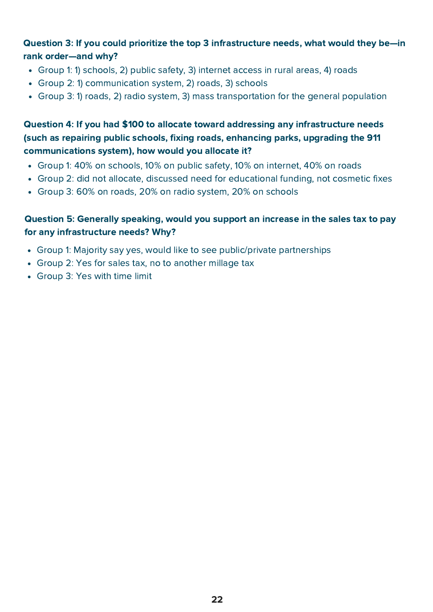#### Question 3: If you could prioritize the top 3 infrastructure needs, what would they be—in rank order—and why?

- Group 1: 1) schools, 2) public safety, 3) internet access in rural areas, 4) roads
- Group 2: 1) communication system, 2) roads, 3) schools
- Group 3: 1) roads, 2) radio system, 3) mass transportation for the general population

### Question 4: If you had \$100 to allocate toward addressing any infrastructure needs (such as repairing public schools, fixing roads, enhancing parks, upgrading the 911 communications system), how would you allocate it?

- Group 1: 40% on schools, 10% on public safety, 10% on internet, 40% on roads
- Group 2: did not allocate, discussed need for educational funding, not cosmetic fixes
- Group 3: 60% on roads, 20% on radio system, 20% on schools

#### Question 5: Generally speaking, would you support an increase in the sales tax to pay for any infrastructure needs? Why?

- Group 1: Majority say yes, would like to see public/private partnerships
- Group 2: Yes for sales tax, no to another millage tax
- Group 3: Yes with time limit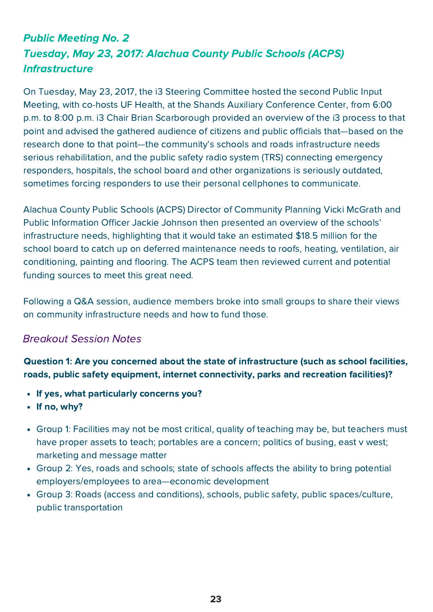## Public Meeting No. 2 Tuesday, May 23, 2017: Alachua County Public Schools (ACPS) **Infrastructure**

On Tuesday, May 23, 2017, the i3 Steering Committee hosted the second Public Input Meeting, with co-hosts UF Health, at the Shands Auxiliary Conference Center, from 6:00 p.m. to 8:00 p.m. i3 Chair Brian Scarborough provided an overview of the i3 process to that point and advised the gathered audience of citizens and public officials that—based on the research done to that point—the community's schools and roads infrastructure needs serious rehabilitation, and the public safety radio system (TRS) connecting emergency responders, hospitals, the school board and other organizations is seriously outdated, sometimes forcing responders to use their personal cellphones to communicate.

Alachua County Public Schools (ACPS) Director of Community Planning Vicki McGrath and Public Information Officer Jackie Johnson then presented an overview of the schools' infrastructure needs, highlighting that it would take an estimated \$18.5 million for the school board to catch up on deferred maintenance needs to roofs, heating, ventilation, air conditioning, painting and flooring. The ACPS team then reviewed current and potential funding sources to meet this great need.

Following a Q&A session, audience members broke into small groups to share their views on community infrastructure needs and how to fund those.

## Breakout Session Notes

Question 1: Are you concerned about the state of infrastructure (such as school facilities, roads, public safety equipment, internet connectivity, parks and recreation facilities)?

- If yes, what particularly concerns you?
- If no, why?
- Group 1: Facilities may not be most critical, quality of teaching may be, but teachers must have proper assets to teach; portables are a concern; politics of busing, east v west; marketing and message matter
- Group 2: Yes, roads and schools; state of schools affects the ability to bring potential employers/employees to area—economic development
- Group 3: Roads (access and conditions), schools, public safety, public spaces/culture, public transportation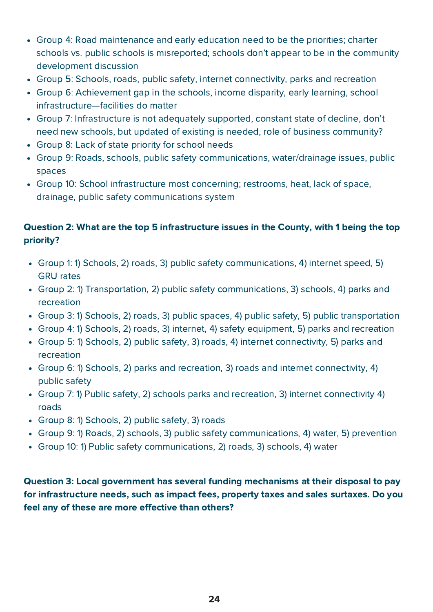- Group 4: Road maintenance and early education need to be the priorities; charter schools vs. public schools is misreported; schools don't appear to be in the community development discussion
- Group 5: Schools, roads, public safety, internet connectivity, parks and recreation
- Group 6: Achievement gap in the schools, income disparity, early learning, school infrastructure—facilities do matter
- Group 7: Infrastructure is not adequately supported, constant state of decline, don't need new schools, but updated of existing is needed, role of business community?
- Group 8: Lack of state priority for school needs
- Group 9: Roads, schools, public safety communications, water/drainage issues, public spaces
- Group 10: School infrastructure most concerning; restrooms, heat, lack of space, drainage, public safety communications system

### Question 2: What are the top 5 infrastructure issues in the County, with 1 being the top priority?

- Group 1: 1) Schools, 2) roads, 3) public safety communications, 4) internet speed, 5) GRU rates
- Group 2: 1) Transportation, 2) public safety communications, 3) schools, 4) parks and recreation
- Group 3: 1) Schools, 2) roads, 3) public spaces, 4) public safety, 5) public transportation
- Group 4: 1) Schools, 2) roads, 3) internet, 4) safety equipment, 5) parks and recreation
- Group 5: 1) Schools, 2) public safety, 3) roads, 4) internet connectivity, 5) parks and recreation
- Group 6: 1) Schools, 2) parks and recreation, 3) roads and internet connectivity, 4) public safety
- Group 7: 1) Public safety, 2) schools parks and recreation, 3) internet connectivity 4) roads
- Group 8: 1) Schools, 2) public safety, 3) roads
- Group 9: 1) Roads, 2) schools, 3) public safety communications, 4) water, 5) prevention
- Group 10: 1) Public safety communications, 2) roads, 3) schools, 4) water

Question 3: Local government has several funding mechanisms at their disposal to pay for infrastructure needs, such as impact fees, property taxes and sales surtaxes. Do you feel any of these are more effective than others?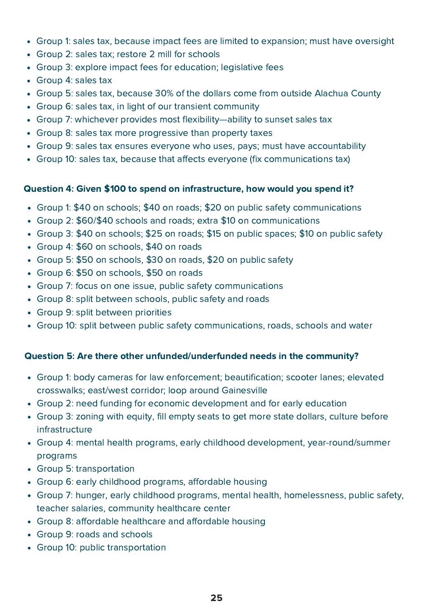- Group 1: sales tax, because impact fees are limited to expansion; must have oversight
- Group 2: sales tax; restore 2 mill for schools
- Group 3: explore impact fees for education; legislative fees
- Group 4: sales tax
- Group 5: sales tax, because 30% of the dollars come from outside Alachua County
- Group 6: sales tax, in light of our transient community
- Group 7: whichever provides most flexibility—ability to sunset sales tax
- Group 8: sales tax more progressive than property taxes
- Group 9: sales tax ensures everyone who uses, pays; must have accountability
- Group 10: sales tax, because that affects everyone (fix communications tax)

#### Question 4: Given \$100 to spend on infrastructure, how would you spend it?

- Group 1: \$40 on schools; \$40 on roads; \$20 on public safety communications
- Group 2: \$60/\$40 schools and roads; extra \$10 on communications
- Group 3: \$40 on schools; \$25 on roads; \$15 on public spaces; \$10 on public safety
- Group 4: \$60 on schools, \$40 on roads
- Group 5: \$50 on schools, \$30 on roads, \$20 on public safety
- Group 6: \$50 on schools, \$50 on roads
- Group 7: focus on one issue, public safety communications
- Group 8: split between schools, public safety and roads
- Group 9: split between priorities
- Group 10: split between public safety communications, roads, schools and water

#### Question 5: Are there other unfunded/underfunded needs in the community?

- Group 1: body cameras for law enforcement; beautification; scooter lanes; elevated crosswalks; east/west corridor; loop around Gainesville
- Group 2: need funding for economic development and for early education
- Group 3: zoning with equity, fill empty seats to get more state dollars, culture before infrastructure
- Group 4: mental health programs, early childhood development, year-round/summer programs
- Group 5: transportation
- Group 6: early childhood programs, affordable housing
- Group 7: hunger, early childhood programs, mental health, homelessness, public safety, teacher salaries, community healthcare center
- Group 8: affordable healthcare and affordable housing
- Group 9: roads and schools
- Group 10: public transportation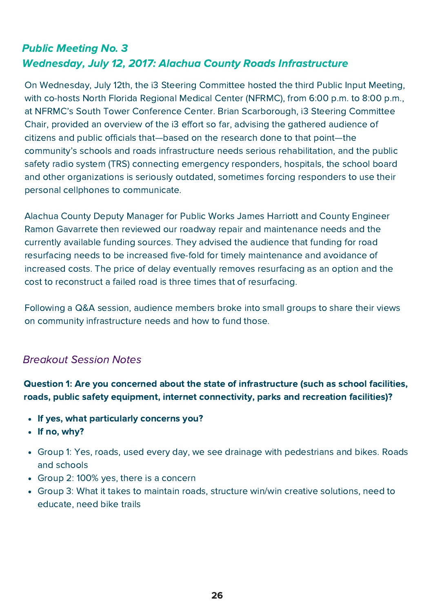## Public Meeting No. 3 Wednesday, July 12, 2017: Alachua County Roads Infrastructure

On Wednesday, July 12th, the i3 Steering Committee hosted the third Public Input Meeting, with co-hosts North Florida Regional Medical Center (NFRMC), from 6:00 p.m. to 8:00 p.m., at NFRMC's South Tower Conference Center. Brian Scarborough, i3 Steering Committee Chair, provided an overview of the i3 effort so far, advising the gathered audience of citizens and public officials that—based on the research done to that point—the community's schools and roads infrastructure needs serious rehabilitation, and the public safety radio system (TRS) connecting emergency responders, hospitals, the school board and other organizations is seriously outdated, sometimes forcing responders to use their personal cellphones to communicate.

Alachua County Deputy Manager for Public Works James Harriott and County Engineer Ramon Gavarrete then reviewed our roadway repair and maintenance needs and the currently available funding sources. They advised the audience that funding for road resurfacing needs to be increased five-fold for timely maintenance and avoidance of increased costs. The price of delay eventually removes resurfacing as an option and the cost to reconstruct a failed road is three times that of resurfacing.

Following a Q&A session, audience members broke into small groups to share their views on community infrastructure needs and how to fund those.

#### Breakout Session Notes

Question 1: Are you concerned about the state of infrastructure (such as school facilities, roads, public safety equipment, internet connectivity, parks and recreation facilities)?

- If yes, what particularly concerns you?
- If no, why?
- Group 1: Yes, roads, used every day, we see drainage with pedestrians and bikes. Roads and schools
- Group 2: 100% yes, there is a concern
- Group 3: What it takes to maintain roads, structure win/win creative solutions, need to educate, need bike trails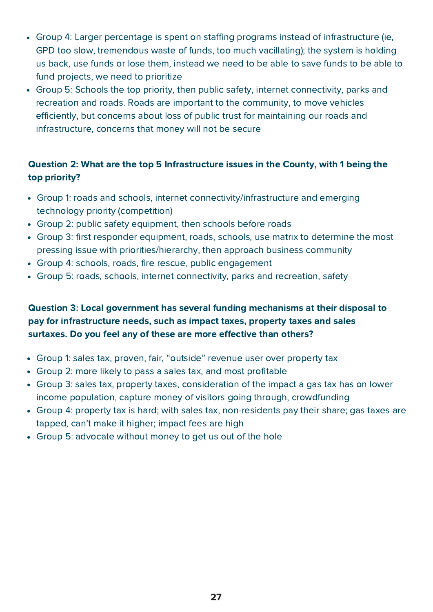- Group 4: Larger percentage is spent on staffing programs instead of infrastructure (ie, GPD too slow, tremendous waste of funds, too much vacillating); the system is holding us back, use funds or lose them, instead we need to be able to save funds to be able to fund projects, we need to prioritize
- Group 5: Schools the top priority, then public safety, internet connectivity, parks and recreation and roads. Roads are important to the community, to move vehicles efficiently, but concerns about loss of public trust for maintaining our roads and infrastructure, concerns that money will not be secure

## Question 2: What are the top 5 Infrastructure issues in the County, with 1 being the top priority?

- Group 1: roads and schools, internet connectivity/infrastructure and emerging technology priority (competition)
- Group 2: public safety equipment, then schools before roads
- Group 3: first responder equipment, roads, schools, use matrix to determine the most pressing issue with priorities/hierarchy, then approach business community
- Group 4: schools, roads, fire rescue, public engagement
- Group 5: roads, schools, internet connectivity, parks and recreation, safety

### Question 3: Local government has several funding mechanisms at their disposal to pay for infrastructure needs, such as impact taxes, property taxes and sales surtaxes. Do you feel any of these are more effective than others?

- Group 1: sales tax, proven, fair, "outside" revenue user over property tax
- Group 2: more likely to pass a sales tax, and most profitable
- Group 3: sales tax, property taxes, consideration of the impact a gas tax has on lower income population, capture money of visitors going through, crowdfunding
- Group 4: property tax is hard; with sales tax, non-residents pay their share; gas taxes are tapped, can't make it higher; impact fees are high
- Group 5: advocate without money to get us out of the hole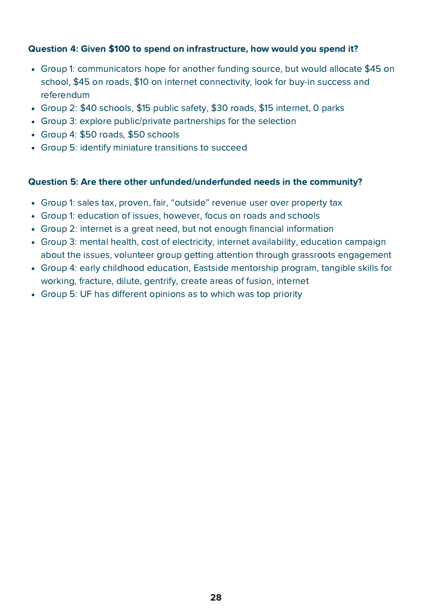#### Question 4: Given \$100 to spend on infrastructure, how would you spend it?

- Group 1: communicators hope for another funding source, but would allocate \$45 on school, \$45 on roads, \$10 on internet connectivity, look for buy-in success and referendum
- Group 2: \$40 schools, \$15 public safety, \$30 roads, \$15 internet, 0 parks
- Group 3: explore public/private partnerships for the selection
- Group 4: \$50 roads, \$50 schools
- Group 5: identify miniature transitions to succeed

#### Question 5: Are there other unfunded/underfunded needs in the community?

- Group 1: sales tax, proven, fair, "outside" revenue user over property tax
- Group 1: education of issues, however, focus on roads and schools
- Group 2: internet is a great need, but not enough financial information
- Group 3: mental health, cost of electricity, internet availability, education campaign about the issues, volunteer group getting attention through grassroots engagement
- Group 4: early childhood education, Eastside mentorship program, tangible skills for working, fracture, dilute, gentrify, create areas of fusion, internet
- Group 5: UF has different opinions as to which was top priority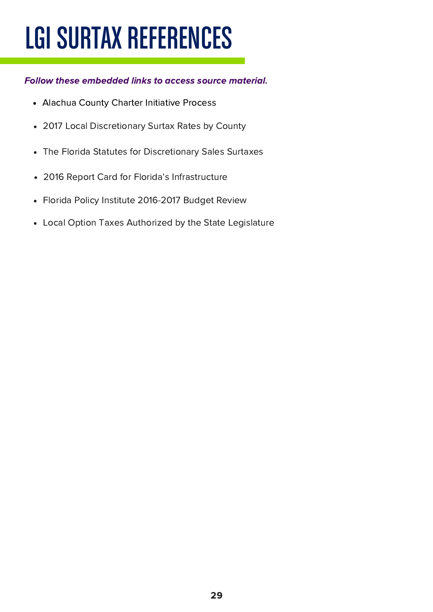# LGI SURTAX REFERENCES

#### Follow these embedded links to access source [material.](http://www.votealachua.com/Portals/Alachua/Documents/Misc/Alachua_County_Ordinance_Initiative_Process.pdf)

- Alachua County Charter [Initiative](http://www.votealachua.com/Portals/Alachua/Documents/Misc/Alachua_County_Ordinance_Initiative_Process.pdf) Process
- 2017 Local [Discretionary](http://www.edr.state.fl.us/Content/local-government/data/county-municipal/2017LDSSrates.pdf) Surtax Rates by County
- The Florida Statutes for [Discretionary](http://www.leg.state.fl.us/STATUTES/index.cfm?App_mode=Display_Statute&URL=0200-0299/0212/Sections/0212.055.html) Sales Surtaxes
- 2016 Report Card for Florida's [Infrastructure](https://www.infrastructurereportcard.org/wp-content/uploads/2017/01/2016_RC_Final_screen.pdf)  $\bullet$
- Florida Policy Institute [2016-2017](http://www.fpi.institute/floridas-2016-2017-budget-increases-some-funding-but-will-not-maintain-infrastructure-or-services-needed-to-maintain-quality-of-life/) Budget Review
- Local Option Taxes Authorized by the State [Legislature](http://floridarevenue.com/taxes/taxesfees/Pages/local_option.aspx)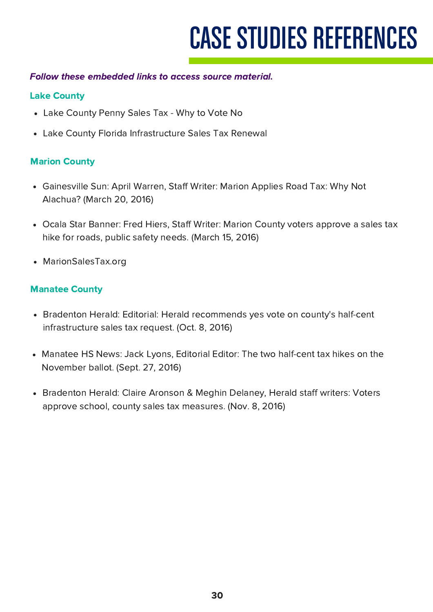# **CASE STUDIES REFERENCES**

#### Follow these embedded links to access source [material.](http://www.votealachua.com/Portals/Alachua/Documents/Misc/Alachua_County_Ordinance_Initiative_Process.pdf)

#### Lake County

- Lake [County](http://www.lakecountychamberalliance.com/Graphics/PennySalesTax/Penny%20Sales%20Tax%20-%20Why%20to%20Vote%20NO.pdf) Penny Sales Tax Why to Vote No
- Lake County Florida [Infrastructure](https://www.lakecountyfl.gov/infrastructure_sales_tax/history.html) Sales Tax Renewal

#### Marion County

- [Gainesville](http://www.gainesville.com/article/LK/20160320/News/604145580/GS/) Sun: April Warren, Staff Writer: Marion Applies Road Tax: Why Not Alachua? (March 20, 2016)
- Ocala Star [Banner:](http://www.ocala.com/news/20160315/marion-county-voters-approve-a-sales-tax-hike-for-roads-public-safety-needs) Fred Hiers, Staff Writer: Marion County voters approve a sales tax hike for roads, public safety needs. (March 15, 2016)
- [MarionSalesTax.org](https://www.marionsalestax.org/)

#### Manatee County

- Bradenton Herald: Editorial: Herald recommends yes vote on county's half-cent [infrastructure](http://www.bradenton.com/opinion/editorials/article106655367.html) sales tax request. (Oct. 8, 2016)
- Manatee HS News: Jack Lyons, Editorial Editor: The two half-cent tax hikes on the [November](https://manateehsnews.wordpress.com/2016/09/27/the-two-half-cent-tax-hikes-on-the-november-ballot/) ballot. (Sept. 27, 2016)
- Bradenton Herald: Claire Aronson & Meghin Delaney, Herald staff writers: Voters approve school, county sales tax [measures.](http://www.bradenton.com/news/local/education/article113423568.html) (Nov. 8, 2016)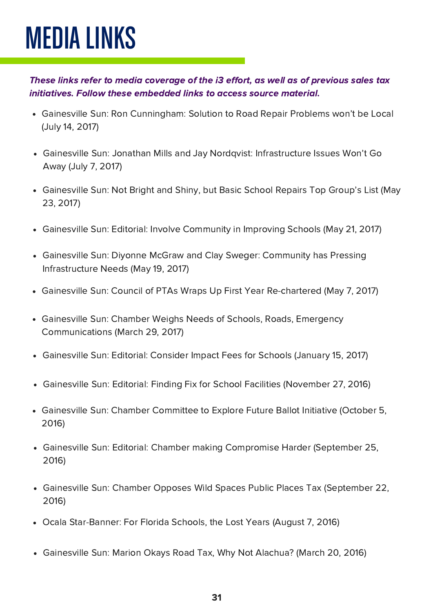# MEDIA LINKS

These links refer to media coverage of the i3 effort, as well as of previous sales tax [initiatives.](http://www.votealachua.com/Portals/Alachua/Documents/Misc/Alachua_County_Ordinance_Initiative_Process.pdf) Follow these embedded links to access source material.

- Gainesville Sun: Ron [Cunningham:](http://www.lakecountychamberalliance.com/Graphics/PennySalesTax/Penny%20Sales%20Tax%20-%20Why%20to%20Vote%20NO.pdf) Solution to Road Repair Problems won't be Local (July 14, 2017)
- Gainesville Sun: Jonathan Mills and Jay Nordqvist: [Infrastructure](https://www.lakecountyfl.gov/infrastructure_sales_tax/history.html) Issues Won't Go Away (July 7, 2017)
- [Gainesville](http://www.gainesville.com/article/LK/20160320/News/604145580/GS/) Sun: Not Bright and Shiny, but Basic School Repairs Top Group's List (May 23, 2017)
- Gainesville Sun: Editorial: Involve [Community](http://www.ocala.com/news/20160315/marion-county-voters-approve-a-sales-tax-hike-for-roads-public-safety-needs) in Improving Schools (May 21, 2017)  $\bullet$
- Gainesville Sun: Diyonne McGraw and Clay Sweger: Community has Pressing [Infrastructure](http://www.bradenton.com/opinion/editorials/article106655367.html) Needs (May 19, 2017)
- Gainesville Sun: Council of PTAs Wraps Up First Year [Re-chartered](https://manateehsnews.wordpress.com/2016/09/27/the-two-half-cent-tax-hikes-on-the-november-ballot/) (May 7, 2017)
- Gainesville Sun: Chamber Weighs Needs of Schools, Roads, Emergency [Communications](http://www.bradenton.com/news/local/education/article113423568.html) (March 29, 2017)
- [Gainesville](http://www.bradenton.com/news/local/education/article113423568.html) Sun: Editorial: Consider Impact Fees for Schools (January 15, 2017)  $\bullet$
- Gainesville Sun: Editorial: Finding Fix for School Facilities [\(November](http://www.bradenton.com/news/local/education/article113423568.html) 27, 2016)  $\bullet$
- Gainesville Sun: Chamber [Committee](http://www.bradenton.com/news/local/education/article113423568.html) to Explore Future Ballot Initiative (October 5, 2016)
- Gainesville Sun: Editorial: Chamber making Compromise Harder [\(September](http://www.bradenton.com/news/local/education/article113423568.html) 25, 2016)
- Gainesville Sun: Chamber Opposes Wild Spaces Public Places Tax [\(September](http://www.bradenton.com/news/local/education/article113423568.html) 22, 2016)
- Ocala [Star-Banner:](http://www.bradenton.com/news/local/education/article113423568.html) For Florida Schools, the Lost Years (August 7, 2016)
- [Gainesville](http://www.bradenton.com/news/local/education/article113423568.html) Sun: Marion Okays Road Tax, Why Not Alachua? (March 20, 2016)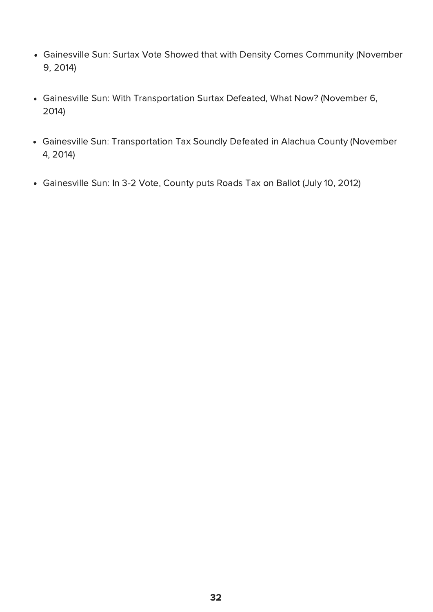- Gainesville Sun: Surtax Vote Showed that with Density Comes Community [\(November](http://www.lakecountychamberalliance.com/Graphics/PennySalesTax/Penny%20Sales%20Tax%20-%20Why%20to%20Vote%20NO.pdf) 9, 2014)
- Gainesville Sun: With [Transportation](https://www.lakecountyfl.gov/infrastructure_sales_tax/history.html) Surtax Defeated, What Now? (November 6, 2014)
- Gainesville Sun: [Transportation](http://www.gainesville.com/article/LK/20160320/News/604145580/GS/) Tax Soundly Defeated in Alachua County (November 4, 2014)
- [Gainesville](http://www.ocala.com/news/20160315/marion-county-voters-approve-a-sales-tax-hike-for-roads-public-safety-needs) Sun: In 3-2 Vote, County puts Roads Tax on Ballot (July 10, 2012)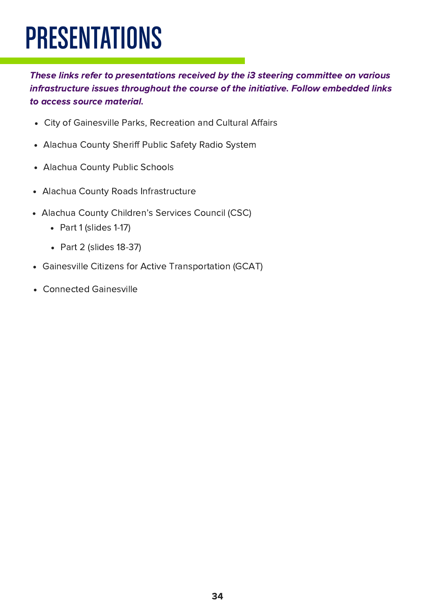# PRESENTATIONS

These links refer to [presentations](http://www.votealachua.com/Portals/Alachua/Documents/Misc/Alachua_County_Ordinance_Initiative_Process.pdf) received by the i3 steering committee on various infrastructure issues throughout the course of the initiative. Follow embedded links to access source material.

- City of [Gainesville](http://www.lakecountychamberalliance.com/Graphics/PennySalesTax/Penny%20Sales%20Tax%20-%20Why%20to%20Vote%20NO.pdf) Parks, Recreation and Cultural Affairs
- [Alachua](http://www.gainesvillechamber.com/wp-content/uploads/2017/09/asco-public-safety-radio-system-presentation-3-1-17.pptx) County Sheriff Public Safety Radio System
- [Alachua](http://www.gainesville.com/article/LK/20160320/News/604145580/GS/) County Public Schools
- Alachua County Roads [Infrastructure](http://www.gainesvillechamber.com/wp-content/uploads/2017/09/I3-Public-Meeting-Road-Briefing-reduced-07102017.pptx)
- Alachua County Children's Services Council (CSC)
	- Part 1 [\(slides](http://www.gainesvillechamber.com/wp-content/uploads/2017/09/CSC-Presentation-for-i3-3.0-FINALpt1.pptx) 1-17)
	- Part 2 [\(slides](http://www.gainesvillechamber.com/wp-content/uploads/2017/09/CSC-Presentation-for-i3-3.0-FINALpt2.pptx) 18-37)
- Gainesville Citizens for Active [Transportation](http://www.gainesvillechamber.com/wp-content/uploads/2017/09/i3-presentation-GCAT-.pptx) (GCAT)
- [Connected](http://www.gainesvillechamber.com/wp-content/uploads/2017/09/i3-presentation-Connected-Gainesville-Presentation1.pptx) Gainesville